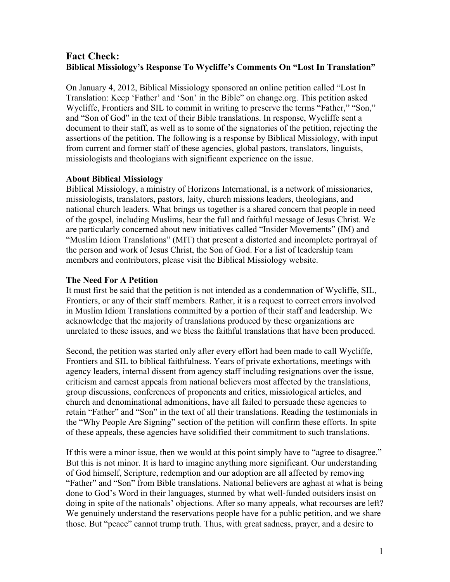# **Fact Check: Biblical Missiology's Response To Wycliffe's Comments On "Lost In Translation"**

On January 4, 2012, Biblical Missiology sponsored an online petition called "Lost In Translation: Keep 'Father' and 'Son' in the Bible" on change.org. This petition asked Wycliffe, Frontiers and SIL to commit in writing to preserve the terms "Father," "Son," and "Son of God" in the text of their Bible translations. In response, Wycliffe sent a document to their staff, as well as to some of the signatories of the petition, rejecting the assertions of the petition. The following is a response by Biblical Missiology, with input from current and former staff of these agencies, global pastors, translators, linguists, missiologists and theologians with significant experience on the issue.

#### **About Biblical Missiology**

Biblical Missiology, a ministry of Horizons International, is a network of missionaries, missiologists, translators, pastors, laity, church missions leaders, theologians, and national church leaders. What brings us together is a shared concern that people in need of the gospel, including Muslims, hear the full and faithful message of Jesus Christ. We are particularly concerned about new initiatives called "Insider Movements" (IM) and "Muslim Idiom Translations" (MIT) that present a distorted and incomplete portrayal of the person and work of Jesus Christ, the Son of God. For a list of leadership team members and contributors, please visit the Biblical Missiology website.

#### **The Need For A Petition**

It must first be said that the petition is not intended as a condemnation of Wycliffe, SIL, Frontiers, or any of their staff members. Rather, it is a request to correct errors involved in Muslim Idiom Translations committed by a portion of their staff and leadership. We acknowledge that the majority of translations produced by these organizations are unrelated to these issues, and we bless the faithful translations that have been produced.

Second, the petition was started only after every effort had been made to call Wycliffe, Frontiers and SIL to biblical faithfulness. Years of private exhortations, meetings with agency leaders, internal dissent from agency staff including resignations over the issue, criticism and earnest appeals from national believers most affected by the translations, group discussions, conferences of proponents and critics, missiological articles, and church and denominational admonitions, have all failed to persuade these agencies to retain "Father" and "Son" in the text of all their translations. Reading the testimonials in the "Why People Are Signing" section of the petition will confirm these efforts. In spite of these appeals, these agencies have solidified their commitment to such translations.

If this were a minor issue, then we would at this point simply have to "agree to disagree." But this is not minor. It is hard to imagine anything more significant. Our understanding of God himself, Scripture, redemption and our adoption are all affected by removing "Father" and "Son" from Bible translations. National believers are aghast at what is being done to God's Word in their languages, stunned by what well-funded outsiders insist on doing in spite of the nationals' objections. After so many appeals, what recourses are left? We genuinely understand the reservations people have for a public petition, and we share those. But "peace" cannot trump truth. Thus, with great sadness, prayer, and a desire to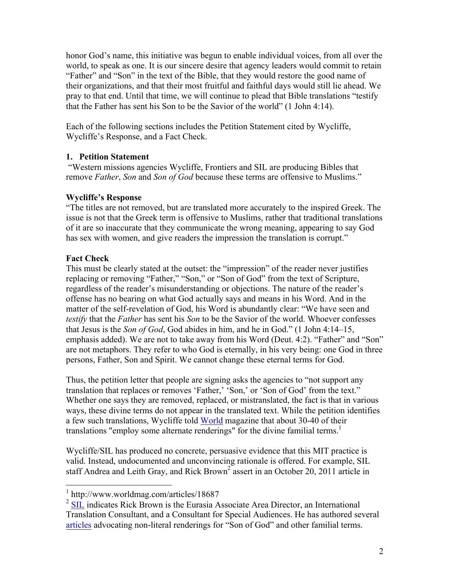honor God's name, this initiative was begun to enable individual voices, from all over the world, to speak as one. It is our sincere desire that agency leaders would commit to retain "Father" and "Son" in the text of the Bible, that they would restore the good name of their organizations, and that their most fruitful and faithful days would still lie ahead. We pray to that end. Until that time, we will continue to plead that Bible translations "testify that the Father has sent his Son to be the Savior of the world" (1 John 4:14).

Each of the following sections includes the Petition Statement cited by Wycliffe, Wycliffe's Response, and a Fact Check.

# **1. Petition Statement**

"Western missions agencies Wycliffe, Frontiers and SIL are producing Bibles that remove *Father*, *Son* and *Son of God* because these terms are offensive to Muslims."

# **Wycliffe's Response**

"The titles are not removed, but are translated more accurately to the inspired Greek. The issue is not that the Greek term is offensive to Muslims, rather that traditional translations of it are so inaccurate that they communicate the wrong meaning, appearing to say God has sex with women, and give readers the impression the translation is corrupt."

# **Fact Check**

This must be clearly stated at the outset: the "impression" of the reader never justifies replacing or removing "Father," "Son," or "Son of God" from the text of Scripture, regardless of the reader's misunderstanding or objections. The nature of the reader's offense has no bearing on what God actually says and means in his Word. And in the matter of the self-revelation of God, his Word is abundantly clear: "We have seen and *testify* that the *Father* has sent his *Son* to be the Savior of the world. Whoever confesses that Jesus is the *Son of God*, God abides in him, and he in God." (1 John 4:14–15, emphasis added). We are not to take away from his Word (Deut. 4:2). "Father" and "Son" are not metaphors. They refer to who God is eternally, in his very being: one God in three persons, Father, Son and Spirit. We cannot change these eternal terms for God.

Thus, the petition letter that people are signing asks the agencies to "not support any translation that replaces or removes 'Father,' 'Son,' or 'Son of God' from the text." Whether one says they are removed, replaced, or mistranslated, the fact is that in various ways, these divine terms do not appear in the translated text. While the petition identifies a few such translations, Wycliffe told [World](http://www.worldmag.com/articles/18687) magazine that about 30-40 of their translations "employ some alternate renderings" for the divine familial terms.<sup>1</sup>

Wycliffe/SIL has produced no concrete, persuasive evidence that this MIT practice is valid. Instead, undocumented and unconvincing rationale is offered. For example, SIL staff Andrea and Leith Gray, and Rick Brown<sup>2</sup> assert in an October 20, 2011 article in

 $1 \text{ http://www.worldmag.com/articles/18687}$ 

<sup>&</sup>lt;sup>2</sup> [SIL](http://www.sil.org/sil/roster/brown_richard.htm) indicates Rick Brown is the Eurasia Associate Area Director, an International Translation Consultant, and a Consultant for Special Audiences. He has authored several [articles](http://ijfm.org/) advocating non-literal renderings for "Son of God" and other familial terms.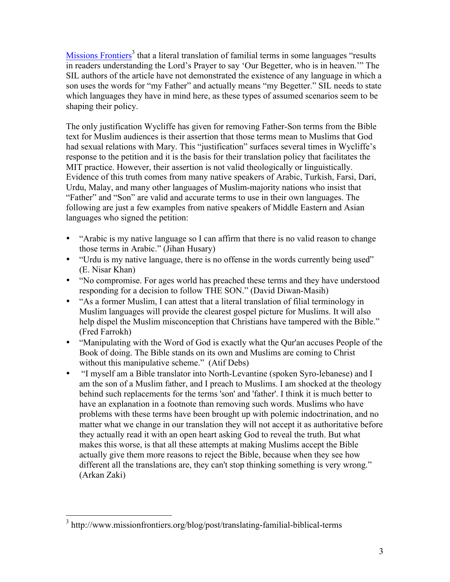[Missions Frontiers](http://www.missionfrontiers.org/blog/post/translating-familial-biblical-terms)<sup>3</sup> that a literal translation of familial terms in some languages "results" in readers understanding the Lord's Prayer to say 'Our Begetter, who is in heaven.'" The SIL authors of the article have not demonstrated the existence of any language in which a son uses the words for "my Father" and actually means "my Begetter." SIL needs to state which languages they have in mind here, as these types of assumed scenarios seem to be shaping their policy.

The only justification Wycliffe has given for removing Father-Son terms from the Bible text for Muslim audiences is their assertion that those terms mean to Muslims that God had sexual relations with Mary. This "justification" surfaces several times in Wycliffe's response to the petition and it is the basis for their translation policy that facilitates the MIT practice. However, their assertion is not valid theologically or linguistically. Evidence of this truth comes from many native speakers of Arabic, Turkish, Farsi, Dari, Urdu, Malay, and many other languages of Muslim-majority nations who insist that "Father" and "Son" are valid and accurate terms to use in their own languages. The following are just a few examples from native speakers of Middle Eastern and Asian languages who signed the petition:

- "Arabic is my native language so I can affirm that there is no valid reason to change those terms in Arabic." (Jihan Husary)
- "Urdu is my native language, there is no offense in the words currently being used" (E. Nisar Khan)
- "No compromise. For ages world has preached these terms and they have understood responding for a decision to follow THE SON." (David Diwan-Masih)
- "As a former Muslim, I can attest that a literal translation of filial terminology in Muslim languages will provide the clearest gospel picture for Muslims. It will also help dispel the Muslim misconception that Christians have tampered with the Bible." (Fred Farrokh)
- "Manipulating with the Word of God is exactly what the Qur'an accuses People of the Book of doing. The Bible stands on its own and Muslims are coming to Christ without this manipulative scheme." (Atif Debs)
- "I myself am a Bible translator into North-Levantine (spoken Syro-lebanese) and I am the son of a Muslim father, and I preach to Muslims. I am shocked at the theology behind such replacements for the terms 'son' and 'father'. I think it is much better to have an explanation in a footnote than removing such words. Muslims who have problems with these terms have been brought up with polemic indoctrination, and no matter what we change in our translation they will not accept it as authoritative before they actually read it with an open heart asking God to reveal the truth. But what makes this worse, is that all these attempts at making Muslims accept the Bible actually give them more reasons to reject the Bible, because when they see how different all the translations are, they can't stop thinking something is very wrong." (Arkan Zaki)

 <sup>3</sup> http://www.missionfrontiers.org/blog/post/translating-familial-biblical-terms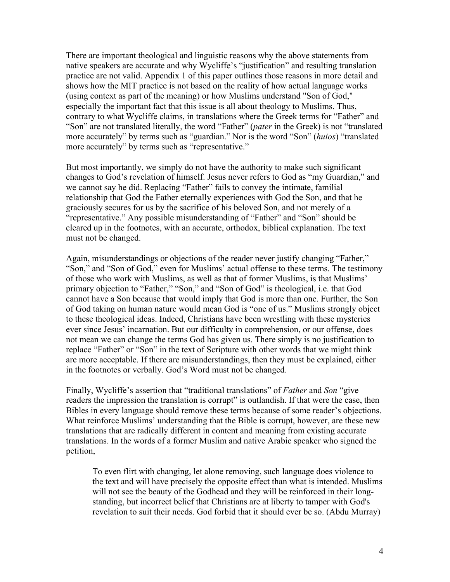There are important theological and linguistic reasons why the above statements from native speakers are accurate and why Wycliffe's "justification" and resulting translation practice are not valid. Appendix 1 of this paper outlines those reasons in more detail and shows how the MIT practice is not based on the reality of how actual language works (using context as part of the meaning) or how Muslims understand "Son of God," especially the important fact that this issue is all about theology to Muslims. Thus, contrary to what Wycliffe claims, in translations where the Greek terms for "Father" and "Son" are not translated literally, the word "Father" (*pater* in the Greek) is not "translated more accurately" by terms such as "guardian." Nor is the word "Son" (*huios*) "translated more accurately" by terms such as "representative."

But most importantly, we simply do not have the authority to make such significant changes to God's revelation of himself. Jesus never refers to God as "my Guardian," and we cannot say he did. Replacing "Father" fails to convey the intimate, familial relationship that God the Father eternally experiences with God the Son, and that he graciously secures for us by the sacrifice of his beloved Son, and not merely of a "representative." Any possible misunderstanding of "Father" and "Son" should be cleared up in the footnotes, with an accurate, orthodox, biblical explanation. The text must not be changed.

Again, misunderstandings or objections of the reader never justify changing "Father," "Son," and "Son of God," even for Muslims' actual offense to these terms. The testimony of those who work with Muslims, as well as that of former Muslims, is that Muslims' primary objection to "Father," "Son," and "Son of God" is theological, i.e. that God cannot have a Son because that would imply that God is more than one. Further, the Son of God taking on human nature would mean God is "one of us." Muslims strongly object to these theological ideas. Indeed, Christians have been wrestling with these mysteries ever since Jesus' incarnation. But our difficulty in comprehension, or our offense, does not mean we can change the terms God has given us. There simply is no justification to replace "Father" or "Son" in the text of Scripture with other words that we might think are more acceptable. If there are misunderstandings, then they must be explained, either in the footnotes or verbally. God's Word must not be changed.

Finally, Wycliffe's assertion that "traditional translations" of *Father* and *Son* "give readers the impression the translation is corrupt" is outlandish. If that were the case, then Bibles in every language should remove these terms because of some reader's objections. What reinforce Muslims' understanding that the Bible is corrupt, however, are these new translations that are radically different in content and meaning from existing accurate translations. In the words of a former Muslim and native Arabic speaker who signed the petition,

To even flirt with changing, let alone removing, such language does violence to the text and will have precisely the opposite effect than what is intended. Muslims will not see the beauty of the Godhead and they will be reinforced in their longstanding, but incorrect belief that Christians are at liberty to tamper with God's revelation to suit their needs. God forbid that it should ever be so. (Abdu Murray)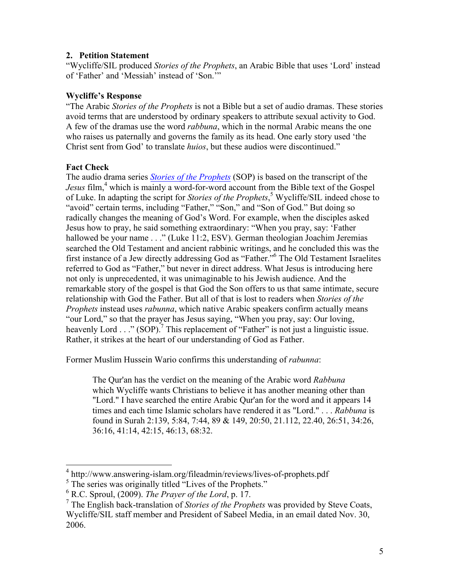#### **2. Petition Statement**

"Wycliffe/SIL produced *Stories of the Prophets*, an Arabic Bible that uses 'Lord' instead of 'Father' and 'Messiah' instead of 'Son.'"

#### **Wycliffe's Response**

"The Arabic *Stories of the Prophets* is not a Bible but a set of audio dramas. These stories avoid terms that are understood by ordinary speakers to attribute sexual activity to God. A few of the dramas use the word *rabbuna*, which in the normal Arabic means the one who raises us paternally and governs the family as its head. One early story used 'the Christ sent from God' to translate *huios*, but these audios were discontinued."

# **Fact Check**

The audio drama series *[Stories of the Prophets](http://www.answering-islam.org/fileadmin/reviews/lives-of-prophets.pdf)* (SOP) is based on the transcript of the *Jesus* film,<sup>4</sup> which is mainly a word-for-word account from the Bible text of the Gospel of Luke. In adapting the script for *Stories of the Prophets*, <sup>5</sup> Wycliffe/SIL indeed chose to "avoid" certain terms, including "Father," "Son," and "Son of God." But doing so radically changes the meaning of God's Word. For example, when the disciples asked Jesus how to pray, he said something extraordinary: "When you pray, say: 'Father hallowed be your name . . ." (Luke 11:2, ESV). German theologian Joachim Jeremias searched the Old Testament and ancient rabbinic writings, and he concluded this was the first instance of a Jew directly addressing God as "Father."6 The Old Testament Israelites referred to God as "Father," but never in direct address. What Jesus is introducing here not only is unprecedented, it was unimaginable to his Jewish audience. And the remarkable story of the gospel is that God the Son offers to us that same intimate, secure relationship with God the Father. But all of that is lost to readers when *Stories of the Prophets* instead uses *rabunna*, which native Arabic speakers confirm actually means "our Lord," so that the prayer has Jesus saying, "When you pray, say: Our loving, heavenly Lord . . ." (SOP).<sup>7</sup> This replacement of "Father" is not just a linguistic issue. Rather, it strikes at the heart of our understanding of God as Father.

Former Muslim Hussein Wario confirms this understanding of *rabunna*:

The Qur'an has the verdict on the meaning of the Arabic word *Rabbuna*  which Wycliffe wants Christians to believe it has another meaning other than "Lord." I have searched the entire Arabic Qur'an for the word and it appears 14 times and each time Islamic scholars have rendered it as "Lord." . . . *Rabbuna* is found in Surah 2:139, 5:84, 7:44, 89 & 149, 20:50, 21.112, 22.40, 26:51, 34:26, 36:16, 41:14, 42:15, 46:13, 68:32.

 <sup>4</sup> http://www.answering-islam.org/fileadmin/reviews/lives-of-prophets.pdf

<sup>&</sup>lt;sup>5</sup> The series was originally titled "Lives of the Prophets."

<sup>6</sup> R.C. Sproul, (2009). *The Prayer of the Lord*, p. 17.

<sup>7</sup> The English back-translation of *Stories of the Prophets* was provided by Steve Coats, Wycliffe/SIL staff member and President of Sabeel Media, in an email dated Nov. 30, 2006.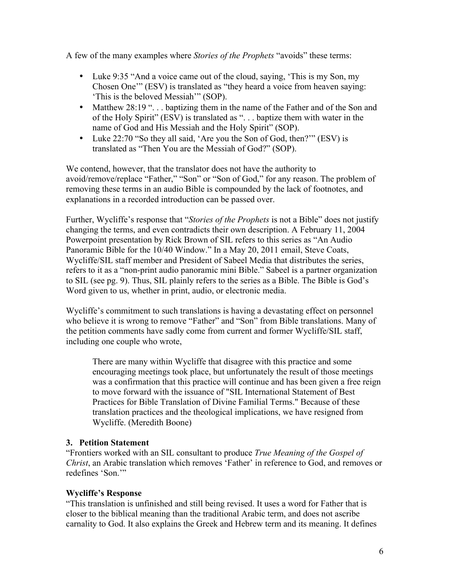A few of the many examples where *Stories of the Prophets* "avoids" these terms:

- Luke 9:35 "And a voice came out of the cloud, saying, 'This is my Son, my Chosen One'" (ESV) is translated as "they heard a voice from heaven saying: 'This is the beloved Messiah'" (SOP).
- Matthew 28:19 "... baptizing them in the name of the Father and of the Son and of the Holy Spirit" (ESV) is translated as ". . . baptize them with water in the name of God and His Messiah and the Holy Spirit" (SOP).
- Luke 22:70 "So they all said, 'Are you the Son of God, then?'" (ESV) is translated as "Then You are the Messiah of God?" (SOP).

We contend, however, that the translator does not have the authority to avoid/remove/replace "Father," "Son" or "Son of God," for any reason. The problem of removing these terms in an audio Bible is compounded by the lack of footnotes, and explanations in a recorded introduction can be passed over.

Further, Wycliffe's response that "*Stories of the Prophets* is not a Bible" does not justify changing the terms, and even contradicts their own description. A February 11, 2004 Powerpoint presentation by Rick Brown of SIL refers to this series as "An Audio Panoramic Bible for the 10/40 Window." In a May 20, 2011 email, Steve Coats, Wycliffe/SIL staff member and President of Sabeel Media that distributes the series, refers to it as a "non-print audio panoramic mini Bible." Sabeel is a partner organization to SIL (see pg. 9). Thus, SIL plainly refers to the series as a Bible. The Bible is God's Word given to us, whether in print, audio, or electronic media.

Wycliffe's commitment to such translations is having a devastating effect on personnel who believe it is wrong to remove "Father" and "Son" from Bible translations. Many of the petition comments have sadly come from current and former Wycliffe/SIL staff, including one couple who wrote,

There are many within Wycliffe that disagree with this practice and some encouraging meetings took place, but unfortunately the result of those meetings was a confirmation that this practice will continue and has been given a free reign to move forward with the issuance of "SIL International Statement of Best Practices for Bible Translation of Divine Familial Terms." Because of these translation practices and the theological implications, we have resigned from Wycliffe. (Meredith Boone)

#### **3. Petition Statement**

"Frontiers worked with an SIL consultant to produce *True Meaning of the Gospel of Christ*, an Arabic translation which removes 'Father' in reference to God, and removes or redefines 'Son.'"

#### **Wycliffe's Response**

"This translation is unfinished and still being revised. It uses a word for Father that is closer to the biblical meaning than the traditional Arabic term, and does not ascribe carnality to God. It also explains the Greek and Hebrew term and its meaning. It defines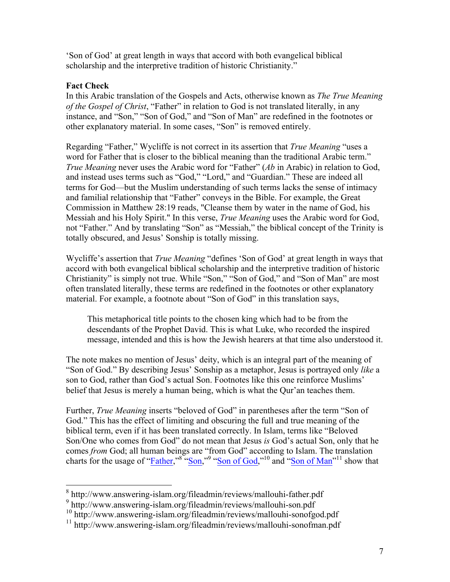'Son of God' at great length in ways that accord with both evangelical biblical scholarship and the interpretive tradition of historic Christianity."

#### **Fact Check**

In this Arabic translation of the Gospels and Acts, otherwise known as *The True Meaning of the Gospel of Christ*, "Father" in relation to God is not translated literally, in any instance, and "Son," "Son of God," and "Son of Man" are redefined in the footnotes or other explanatory material. In some cases, "Son" is removed entirely.

Regarding "Father," Wycliffe is not correct in its assertion that *True Meaning* "uses a word for Father that is closer to the biblical meaning than the traditional Arabic term." *True Meaning* never uses the Arabic word for "Father" (*Ab* in Arabic) in relation to God, and instead uses terms such as "God," "Lord," and "Guardian." These are indeed all terms for God—but the Muslim understanding of such terms lacks the sense of intimacy and familial relationship that "Father" conveys in the Bible. For example, the Great Commission in Matthew 28:19 reads, "Cleanse them by water in the name of God, his Messiah and his Holy Spirit." In this verse, *True Meaning* uses the Arabic word for God, not "Father." And by translating "Son" as "Messiah," the biblical concept of the Trinity is totally obscured, and Jesus' Sonship is totally missing.

Wycliffe's assertion that *True Meaning* "defines 'Son of God' at great length in ways that accord with both evangelical biblical scholarship and the interpretive tradition of historic Christianity" is simply not true. While "Son," "Son of God," and "Son of Man" are most often translated literally, these terms are redefined in the footnotes or other explanatory material. For example, a footnote about "Son of God" in this translation says,

This metaphorical title points to the chosen king which had to be from the descendants of the Prophet David. This is what Luke, who recorded the inspired message, intended and this is how the Jewish hearers at that time also understood it.

The note makes no mention of Jesus' deity, which is an integral part of the meaning of "Son of God." By describing Jesus' Sonship as a metaphor, Jesus is portrayed only *like* a son to God, rather than God's actual Son. Footnotes like this one reinforce Muslims' belief that Jesus is merely a human being, which is what the Qur'an teaches them.

Further, *True Meaning* inserts "beloved of God" in parentheses after the term "Son of God." This has the effect of limiting and obscuring the full and true meaning of the biblical term, even if it has been translated correctly. In Islam, terms like "Beloved Son/One who comes from God" do not mean that Jesus *is* God's actual Son, only that he comes *from* God; all human beings are "from God" according to Islam. The translation charts for the usage of "*Father*,"<sup>8</sup> ["Son,"](http://www.answering-islam.org/fileadmin/reviews/mallouhi-son.pdf)<sup>9</sup> ["Son of God,](http://www.answering-islam.org/fileadmin/reviews/mallouhi-sonofgod.pdf)"<sup>10</sup> and ["Son of Man"](http://www.answering-islam.org/fileadmin/reviews/mallouhi-sonofman.pdf)<sup>11</sup> show that

 <sup>8</sup> http://www.answering-islam.org/fileadmin/reviews/mallouhi-father.pdf

<sup>9</sup> http://www.answering-islam.org/fileadmin/reviews/mallouhi-son.pdf

<sup>10</sup> http://www.answering-islam.org/fileadmin/reviews/mallouhi-sonofgod.pdf

<sup>11</sup> http://www.answering-islam.org/fileadmin/reviews/mallouhi-sonofman.pdf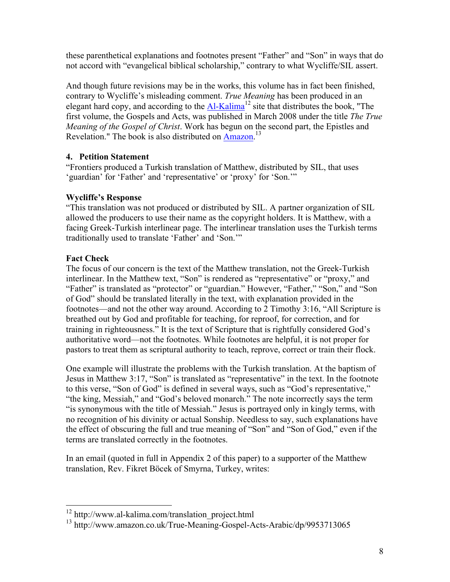these parenthetical explanations and footnotes present "Father" and "Son" in ways that do not accord with "evangelical biblical scholarship," contrary to what Wycliffe/SIL assert.

And though future revisions may be in the works, this volume has in fact been finished, contrary to Wycliffe's misleading comment. *True Meaning* has been produced in an elegant hard copy, and according to the  $Al-Kalima<sup>12</sup>$  site that distributes the book. "The first volume, the Gospels and Acts, was published in March 2008 under the title *The True Meaning of the Gospel of Christ*. Work has begun on the second part, the Epistles and Revelation." The book is also distributed on **Amazon**.<sup>13</sup>

#### **4. Petition Statement**

"Frontiers produced a Turkish translation of Matthew, distributed by SIL, that uses 'guardian' for 'Father' and 'representative' or 'proxy' for 'Son.'"

# **Wycliffe's Response**

"This translation was not produced or distributed by SIL. A partner organization of SIL allowed the producers to use their name as the copyright holders. It is Matthew, with a facing Greek-Turkish interlinear page. The interlinear translation uses the Turkish terms traditionally used to translate 'Father' and 'Son.'"

# **Fact Check**

The focus of our concern is the text of the Matthew translation, not the Greek-Turkish interlinear. In the Matthew text, "Son" is rendered as "representative" or "proxy," and "Father" is translated as "protector" or "guardian." However, "Father," "Son," and "Son of God" should be translated literally in the text, with explanation provided in the footnotes—and not the other way around. According to 2 Timothy 3:16, "All Scripture is breathed out by God and profitable for teaching, for reproof, for correction, and for training in righteousness." It is the text of Scripture that is rightfully considered God's authoritative word—not the footnotes. While footnotes are helpful, it is not proper for pastors to treat them as scriptural authority to teach, reprove, correct or train their flock.

One example will illustrate the problems with the Turkish translation. At the baptism of Jesus in Matthew 3:17, "Son" is translated as "representative" in the text. In the footnote to this verse, "Son of God" is defined in several ways, such as "God's representative," "the king, Messiah," and "God's beloved monarch." The note incorrectly says the term "is synonymous with the title of Messiah." Jesus is portrayed only in kingly terms, with no recognition of his divinity or actual Sonship. Needless to say, such explanations have the effect of obscuring the full and true meaning of "Son" and "Son of God," even if the terms are translated correctly in the footnotes.

In an email (quoted in full in Appendix 2 of this paper) to a supporter of the Matthew translation, Rev. Fikret Böcek of Smyrna, Turkey, writes:

 $12$  http://www.al-kalima.com/translation\_project.html

<sup>13</sup> http://www.amazon.co.uk/True-Meaning-Gospel-Acts-Arabic/dp/9953713065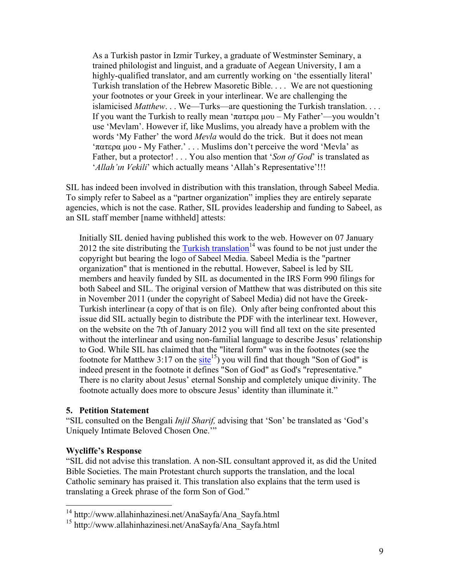As a Turkish pastor in Izmir Turkey, a graduate of Westminster Seminary, a trained philologist and linguist, and a graduate of Aegean University, I am a highly-qualified translator, and am currently working on 'the essentially literal' Turkish translation of the Hebrew Masoretic Bible. . . . We are not questioning your footnotes or your Greek in your interlinear. We are challenging the islamicised *Matthew*. . . We—Turks—are questioning the Turkish translation. . . . If you want the Turkish to really mean 'πατερα µου – My Father'—you wouldn't use 'Mevlam'. However if, like Muslims, you already have a problem with the words 'My Father' the word *Mevla* would do the trick. But it does not mean 'πατερα µου - My Father.' . . . Muslims don't perceive the word 'Mevla' as Father, but a protector! . . . You also mention that '*Son of God*' is translated as '*Allah'ın Vekili'* which actually means 'Allah's Representative'!!!

SIL has indeed been involved in distribution with this translation, through Sabeel Media. To simply refer to Sabeel as a "partner organization" implies they are entirely separate agencies, which is not the case. Rather, SIL provides leadership and funding to Sabeel, as an SIL staff member [name withheld] attests:

Initially SIL denied having published this work to the web. However on 07 January 2012 the site distributing the  $\frac{7 \text{ urkish translation}}{4}$  was found to be not just under the copyright but bearing the logo of Sabeel Media. Sabeel Media is the "partner organization" that is mentioned in the rebuttal. However, Sabeel is led by SIL members and heavily funded by SIL as documented in the IRS Form 990 filings for both Sabeel and SIL. The original version of Matthew that was distributed on this site in November 2011 (under the copyright of Sabeel Media) did not have the Greek-Turkish interlinear (a copy of that is on file). Only after being confronted about this issue did SIL actually begin to distribute the PDF with the interlinear text. However, on the website on the 7th of January 2012 you will find all text on the site presented without the interlinear and using non-familial language to describe Jesus' relationship to God. While SIL has claimed that the "literal form" was in the footnotes (see the footnote for Matthew 3:17 on the [site](http://www.allahinhazinesi.net/AnaSayfa/Ana_Sayfa.html)<sup>15</sup>) you will find that though "Son of God" is indeed present in the footnote it defines "Son of God" as God's "representative." There is no clarity about Jesus' eternal Sonship and completely unique divinity. The footnote actually does more to obscure Jesus' identity than illuminate it."

#### **5. Petition Statement**

"SIL consulted on the Bengali *Injil Sharif,* advising that 'Son' be translated as 'God's Uniquely Intimate Beloved Chosen One.'"

#### **Wycliffe's Response**

"SIL did not advise this translation. A non-SIL consultant approved it, as did the United Bible Societies. The main Protestant church supports the translation, and the local Catholic seminary has praised it. This translation also explains that the term used is translating a Greek phrase of the form Son of God."

 <sup>14</sup> http://www.allahinhazinesi.net/AnaSayfa/Ana\_Sayfa.html

<sup>15</sup> http://www.allahinhazinesi.net/AnaSayfa/Ana\_Sayfa.html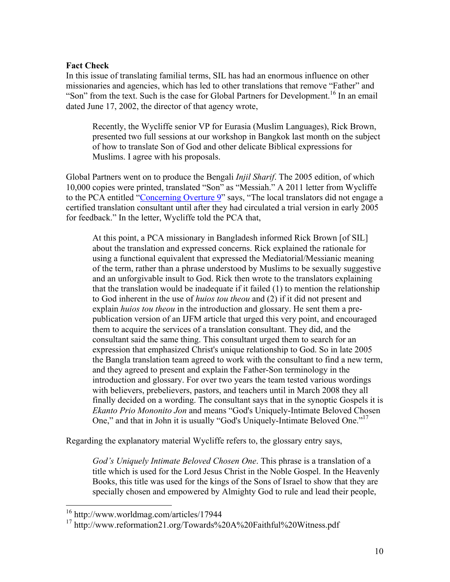#### **Fact Check**

In this issue of translating familial terms, SIL has had an enormous influence on other missionaries and agencies, which has led to other translations that remove "Father" and "Son" from the text. Such is the case for Global Partners for Development.<sup>16</sup> In an email dated June 17, 2002, the director of that agency wrote,

Recently, the Wycliffe senior VP for Eurasia (Muslim Languages), Rick Brown, presented two full sessions at our workshop in Bangkok last month on the subject of how to translate Son of God and other delicate Biblical expressions for Muslims. I agree with his proposals.

Global Partners went on to produce the Bengali *Injil Sharif*. The 2005 edition, of which 10,000 copies were printed, translated "Son" as "Messiah." A 2011 letter from Wycliffe to the PCA entitled ["Concerning Overture 9"](http://www.reformation21.org/Towards A Faithful Witness.pdf) says, "The local translators did not engage a certified translation consultant until after they had circulated a trial version in early 2005 for feedback." In the letter, Wycliffe told the PCA that,

At this point, a PCA missionary in Bangladesh informed Rick Brown [of SIL] about the translation and expressed concerns. Rick explained the rationale for using a functional equivalent that expressed the Mediatorial/Messianic meaning of the term, rather than a phrase understood by Muslims to be sexually suggestive and an unforgivable insult to God. Rick then wrote to the translators explaining that the translation would be inadequate if it failed (1) to mention the relationship to God inherent in the use of *huios tou theou* and (2) if it did not present and explain *huios tou theou* in the introduction and glossary. He sent them a prepublication version of an IJFM article that urged this very point, and encouraged them to acquire the services of a translation consultant. They did, and the consultant said the same thing. This consultant urged them to search for an expression that emphasized Christ's unique relationship to God. So in late 2005 the Bangla translation team agreed to work with the consultant to find a new term, and they agreed to present and explain the Father-Son terminology in the introduction and glossary. For over two years the team tested various wordings with believers, prebelievers, pastors, and teachers until in March 2008 they all finally decided on a wording. The consultant says that in the synoptic Gospels it is *Ekanto Prio Mononito Jon* and means "God's Uniquely-Intimate Beloved Chosen One," and that in John it is usually "God's Uniquely-Intimate Beloved One."<sup>17</sup>

Regarding the explanatory material Wycliffe refers to, the glossary entry says,

*God's Uniquely Intimate Beloved Chosen One*. This phrase is a translation of a title which is used for the Lord Jesus Christ in the Noble Gospel. In the Heavenly Books, this title was used for the kings of the Sons of Israel to show that they are specially chosen and empowered by Almighty God to rule and lead their people,

 <sup>16</sup> http://www.worldmag.com/articles/17944

<sup>17</sup> http://www.reformation21.org/Towards%20A%20Faithful%20Witness.pdf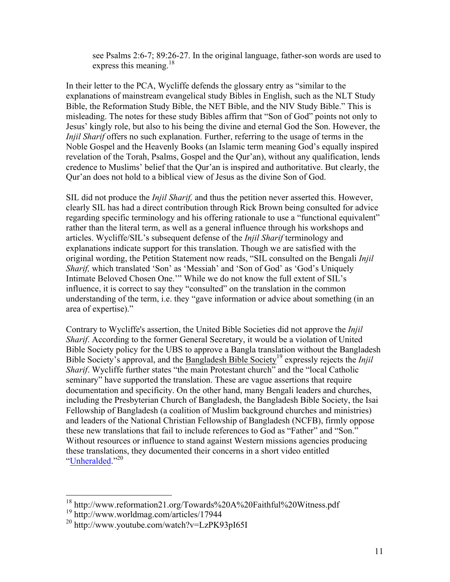see Psalms 2:6-7; 89:26-27. In the original language, father-son words are used to express this meaning.<sup>18</sup>

In their letter to the PCA, Wycliffe defends the glossary entry as "similar to the explanations of mainstream evangelical study Bibles in English, such as the NLT Study Bible, the Reformation Study Bible, the NET Bible, and the NIV Study Bible." This is misleading. The notes for these study Bibles affirm that "Son of God" points not only to Jesus' kingly role, but also to his being the divine and eternal God the Son. However, the *Injil Sharif* offers no such explanation. Further, referring to the usage of terms in the Noble Gospel and the Heavenly Books (an Islamic term meaning God's equally inspired revelation of the Torah, Psalms, Gospel and the Qur'an), without any qualification, lends credence to Muslims' belief that the Qur'an is inspired and authoritative. But clearly, the Qur'an does not hold to a biblical view of Jesus as the divine Son of God.

SIL did not produce the *Injil Sharif,* and thus the petition never asserted this. However, clearly SIL has had a direct contribution through Rick Brown being consulted for advice regarding specific terminology and his offering rationale to use a "functional equivalent" rather than the literal term, as well as a general influence through his workshops and articles. Wycliffe/SIL's subsequent defense of the *Injil Sharif* terminology and explanations indicate support for this translation. Though we are satisfied with the original wording, the Petition Statement now reads, "SIL consulted on the Bengali *Injil Sharif,* which translated 'Son' as 'Messiah' and 'Son of God' as 'God's Uniquely Intimate Beloved Chosen One.'" While we do not know the full extent of SIL's influence, it is correct to say they "consulted" on the translation in the common understanding of the term, i.e. they "gave information or advice about something (in an area of expertise)."

Contrary to Wycliffe's assertion, the United Bible Societies did not approve the *Injil Sharif*. According to the former General Secretary, it would be a violation of United Bible Society policy for the UBS to approve a Bangla translation without the Bangladesh Bible Society's approval, and the Bangladesh Bible Society<sup>19</sup> expressly rejects the *Injil Sharif.* Wycliffe further states "the main Protestant church" and the "local Catholic seminary" have supported the translation. These are vague assertions that require documentation and specificity. On the other hand, many Bengali leaders and churches, including the Presbyterian Church of Bangladesh, the Bangladesh Bible Society, the Isai Fellowship of Bangladesh (a coalition of Muslim background churches and ministries) and leaders of the National Christian Fellowship of Bangladesh (NCFB), firmly oppose these new translations that fail to include references to God as "Father" and "Son." Without resources or influence to stand against Western missions agencies producing these translations, they documented their concerns in a short video entitled ["Unheralded."](http://www.youtube.com/watch?v=LzPK93pI65I)<sup>20</sup>

 <sup>18</sup> http://www.reformation21.org/Towards%20A%20Faithful%20Witness.pdf

<sup>19</sup> http://www.worldmag.com/articles/17944

<sup>20</sup> http://www.youtube.com/watch?v=LzPK93pI65I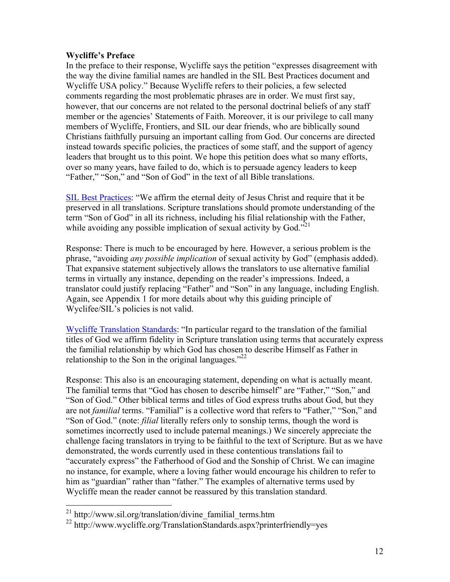#### **Wycliffe's Preface**

In the preface to their response, Wycliffe says the petition "expresses disagreement with the way the divine familial names are handled in the SIL Best Practices document and Wycliffe USA policy." Because Wycliffe refers to their policies, a few selected comments regarding the most problematic phrases are in order. We must first say, however, that our concerns are not related to the personal doctrinal beliefs of any staff member or the agencies' Statements of Faith. Moreover, it is our privilege to call many members of Wycliffe, Frontiers, and SIL our dear friends, who are biblically sound Christians faithfully pursuing an important calling from God. Our concerns are directed instead towards specific policies, the practices of some staff, and the support of agency leaders that brought us to this point. We hope this petition does what so many efforts, over so many years, have failed to do, which is to persuade agency leaders to keep "Father," "Son," and "Son of God" in the text of all Bible translations.

[SIL Best Practices:](http://www.sil.org/translation/divine_familial_terms.htm) "We affirm the eternal deity of Jesus Christ and require that it be preserved in all translations. Scripture translations should promote understanding of the term "Son of God" in all its richness, including his filial relationship with the Father, while avoiding any possible implication of sexual activity by God. $^{521}$ 

Response: There is much to be encouraged by here. However, a serious problem is the phrase, "avoiding *any possible implication* of sexual activity by God" (emphasis added). That expansive statement subjectively allows the translators to use alternative familial terms in virtually any instance, depending on the reader's impressions. Indeed, a translator could justify replacing "Father" and "Son" in any language, including English. Again, see Appendix 1 for more details about why this guiding principle of Wyclifee/SIL's policies is not valid.

[Wycliffe Translation Standards:](http://www.wycliffe.org/TranslationStandards.aspx?printerfriendly=yes) "In particular regard to the translation of the familial titles of God we affirm fidelity in Scripture translation using terms that accurately express the familial relationship by which God has chosen to describe Himself as Father in relationship to the Son in the original languages." $^{22}$ 

Response: This also is an encouraging statement, depending on what is actually meant. The familial terms that "God has chosen to describe himself" are "Father," "Son," and "Son of God." Other biblical terms and titles of God express truths about God, but they are not *familial* terms. "Familial" is a collective word that refers to "Father," "Son," and "Son of God." (note: *filial* literally refers only to sonship terms, though the word is sometimes incorrectly used to include paternal meanings.) We sincerely appreciate the challenge facing translators in trying to be faithful to the text of Scripture. But as we have demonstrated, the words currently used in these contentious translations fail to "accurately express" the Fatherhood of God and the Sonship of Christ. We can imagine no instance, for example, where a loving father would encourage his children to refer to him as "guardian" rather than "father." The examples of alternative terms used by Wycliffe mean the reader cannot be reassured by this translation standard.

 $^{21}$  http://www.sil.org/translation/divine\_familial\_terms.htm

<sup>&</sup>lt;sup>22</sup> http://www.wycliffe.org/TranslationStandards.aspx?printerfriendly=yes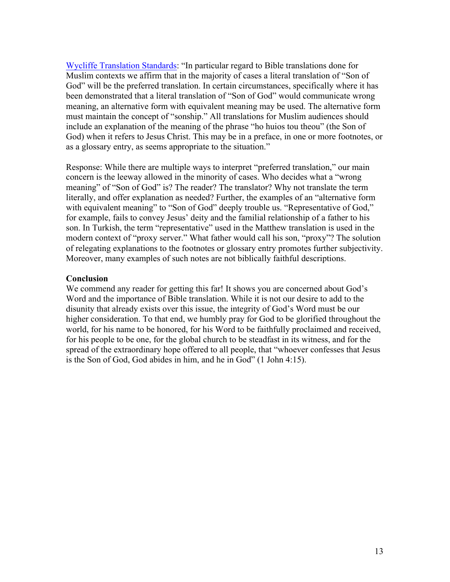[Wycliffe Translation Standards:](http://www.wycliffe.org/TranslationStandards.aspx?printerfriendly=yes) "In particular regard to Bible translations done for Muslim contexts we affirm that in the majority of cases a literal translation of "Son of God" will be the preferred translation. In certain circumstances, specifically where it has been demonstrated that a literal translation of "Son of God" would communicate wrong meaning, an alternative form with equivalent meaning may be used. The alternative form must maintain the concept of "sonship." All translations for Muslim audiences should include an explanation of the meaning of the phrase "ho huios tou theou" (the Son of God) when it refers to Jesus Christ. This may be in a preface, in one or more footnotes, or as a glossary entry, as seems appropriate to the situation."

Response: While there are multiple ways to interpret "preferred translation," our main concern is the leeway allowed in the minority of cases. Who decides what a "wrong meaning" of "Son of God" is? The reader? The translator? Why not translate the term literally, and offer explanation as needed? Further, the examples of an "alternative form with equivalent meaning" to "Son of God" deeply trouble us. "Representative of God," for example, fails to convey Jesus' deity and the familial relationship of a father to his son. In Turkish, the term "representative" used in the Matthew translation is used in the modern context of "proxy server." What father would call his son, "proxy"? The solution of relegating explanations to the footnotes or glossary entry promotes further subjectivity. Moreover, many examples of such notes are not biblically faithful descriptions.

#### **Conclusion**

We commend any reader for getting this far! It shows you are concerned about God's Word and the importance of Bible translation. While it is not our desire to add to the disunity that already exists over this issue, the integrity of God's Word must be our higher consideration. To that end, we humbly pray for God to be glorified throughout the world, for his name to be honored, for his Word to be faithfully proclaimed and received, for his people to be one, for the global church to be steadfast in its witness, and for the spread of the extraordinary hope offered to all people, that "whoever confesses that Jesus is the Son of God, God abides in him, and he in God" (1 John 4:15).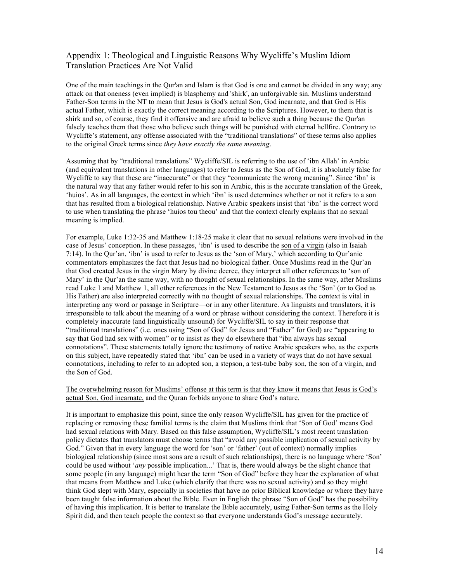#### Appendix 1: Theological and Linguistic Reasons Why Wycliffe's Muslim Idiom Translation Practices Are Not Valid

One of the main teachings in the Qur'an and Islam is that God is one and cannot be divided in any way; any attack on that oneness (even implied) is blasphemy and 'shirk', an unforgivable sin. Muslims understand Father-Son terms in the NT to mean that Jesus is God's actual Son, God incarnate, and that God is His actual Father, which is exactly the correct meaning according to the Scriptures. However, to them that is shirk and so, of course, they find it offensive and are afraid to believe such a thing because the Qur'an falsely teaches them that those who believe such things will be punished with eternal hellfire. Contrary to Wycliffe's statement, any offense associated with the "traditional translations" of these terms also applies to the original Greek terms since *they have exactly the same meaning*.

Assuming that by "traditional translations" Wycliffe/SIL is referring to the use of 'ibn Allah' in Arabic (and equivalent translations in other languages) to refer to Jesus as the Son of God, it is absolutely false for Wycliffe to say that these are "inaccurate" or that they "communicate the wrong meaning". Since 'ibn' is the natural way that any father would refer to his son in Arabic, this is the accurate translation of the Greek, 'huios'. As in all languages, the context in which 'ibn' is used determines whether or not it refers to a son that has resulted from a biological relationship. Native Arabic speakers insist that 'ibn' is the correct word to use when translating the phrase 'huios tou theou' and that the context clearly explains that no sexual meaning is implied.

For example, Luke 1:32-35 and Matthew 1:18-25 make it clear that no sexual relations were involved in the case of Jesus' conception. In these passages, 'ibn' is used to describe the son of a virgin (also in Isaiah 7:14). In the Qur'an, 'ibn' is used to refer to Jesus as the 'son of Mary,' which according to Qur'anic commentators emphasizes the fact that Jesus had no biological father. Once Muslims read in the Qur'an that God created Jesus in the virgin Mary by divine decree, they interpret all other references to 'son of Mary' in the Qur'an the same way, with no thought of sexual relationships. In the same way, after Muslims read Luke 1 and Matthew 1, all other references in the New Testament to Jesus as the 'Son' (or to God as His Father) are also interpreted correctly with no thought of sexual relationships. The context is vital in interpreting any word or passage in Scripture—or in any other literature. As linguists and translators, it is irresponsible to talk about the meaning of a word or phrase without considering the context. Therefore it is completely inaccurate (and linguistically unsound) for Wycliffe/SIL to say in their response that "traditional translations" (i.e. ones using "Son of God" for Jesus and "Father" for God) are "appearing to say that God had sex with women" or to insist as they do elsewhere that "ibn always has sexual connotations". These statements totally ignore the testimony of native Arabic speakers who, as the experts on this subject, have repeatedly stated that 'ibn' can be used in a variety of ways that do not have sexual connotations, including to refer to an adopted son, a stepson, a test-tube baby son, the son of a virgin, and the Son of God.

#### The overwhelming reason for Muslims' offense at this term is that they know it means that Jesus is God's actual Son, God incarnate, and the Quran forbids anyone to share God's nature.

It is important to emphasize this point, since the only reason Wycliffe/SIL has given for the practice of replacing or removing these familial terms is the claim that Muslims think that 'Son of God' means God had sexual relations with Mary. Based on this false assumption, Wycliffe/SIL's most recent translation policy dictates that translators must choose terms that "avoid any possible implication of sexual activity by God." Given that in every language the word for 'son' or 'father' (out of context) normally implies biological relationship (since most sons are a result of such relationships), there is no language where 'Son' could be used without '*any* possible implication...' That is, there would always be the slight chance that some people (in any language) might hear the term "Son of God" before they hear the explanation of what that means from Matthew and Luke (which clarify that there was no sexual activity) and so they might think God slept with Mary, especially in societies that have no prior Biblical knowledge or where they have been taught false information about the Bible. Even in English the phrase "Son of God" has the possibility of having this implication. It is better to translate the Bible accurately, using Father-Son terms as the Holy Spirit did, and then teach people the context so that everyone understands God's message accurately.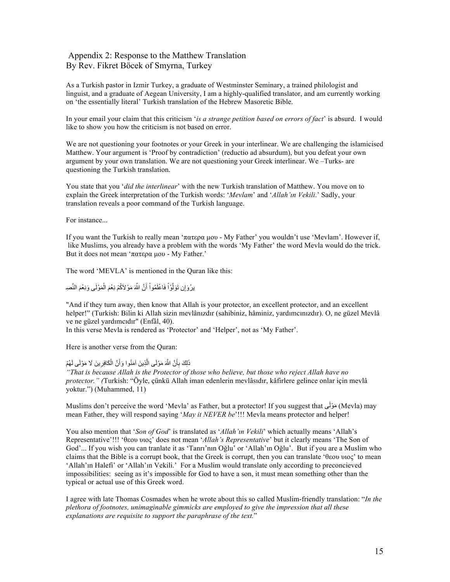#### Appendix 2: Response to the Matthew Translation By Rev. Fikret Böcek of Smyrna, Turkey

As a Turkish pastor in Izmir Turkey, a graduate of Westminster Seminary, a trained philologist and linguist, and a graduate of Aegean University, I am a highly-qualified translator, and am currently working on 'the essentially literal' Turkish translation of the Hebrew Masoretic Bible.

In your email your claim that this criticism '*is a strange petition based on errors of fact*' is absurd. I would like to show you how the criticism is not based on error.

We are not questioning your footnotes or your Greek in your interlinear. We are challenging the islamicised Matthew. Your argument is 'Proof by contradiction' (reductio ad absurdum), but you defeat your own argument by your own translation. We are not questioning your Greek interlinear. We –Turks- are questioning the Turkish translation.

You state that you '*did the interlinear*' with the new Turkish translation of Matthew. You move on to explain the Greek interpretation of the Turkish words: '*Mevlam*' and '*Allah'ın Vekili*.' Sadly, your translation reveals a poor command of the Turkish language.

For instance...

If you want the Turkish to really mean 'πατερα µου - My Father' you wouldn't use 'Mevlam'. However if, like Muslims, you already have a problem with the words 'My Father' the word Mevla would do the trick. But it does not mean 'πατερα μου - My Father.'

The word 'MEVLA' is mentioned in the Quran like this:

َّيرُوَإِن تَوَلَّوْاْ فَاعْلَمُواْ أَنَّ اللَّهَ مَوْلاَكُمْ نِعْمَ الْمَوْلَـى وَنِعْمَ النَّصِدِ ْ ََّْْ

"And if they turn away, then know that Allah is your protector, an excellent protector, and an excellent helper!" (Turkish: Bilin ki Allah sizin mevlânızdır (sahibiniz, hâminiz, yardımcınızdır). O, ne güzel Mevlâ ve ne güzel yardımcıdır" (Enfâl, 40).

In this verse Mevla is rendered as 'Protector' and 'Helper', not as 'My Father'.

Here is another verse from the Quran:

#### ذَلِكَ بِأَنَّ اللَّهَ مَوْلَى الَّذِينَ آمَنُوا وَأَنَّ الْكَافِرِينَ لَا مَوْلَى لَهُمْ َّ ِأ

*"That is because Allah is the Protector of those who believe, but those who reject Allah have no protector." (*Turkish: "Öyle, çünkü Allah iman edenlerin mevlâsıdır, kâfirlere gelince onlar için mevlâ yoktur.") (Muhammed, 11)

Muslims don't perceive the word 'Mevla' as Father, but a protector! If you suggest that مَوْلَى Mevla) may mean Father, they will respond saying '*May it NEVER be*'!!! Mevla means protector and helper!

You also mention that '*Son of God*' is translated as '*Allah'ın Vekili*' which actually means 'Allah's Representative'!!! 'θεου υιος' does not mean '*Allah's Representative*' but it clearly means 'The Son of God'... If you wish you can tranlate it as 'Tanrı'nın Oğlu' or 'Allah'ın Oğlu'. But if you are a Muslim who claims that the Bible is a corrupt book, that the Greek is corrupt, then you can translate 'θεου υιος' to mean 'Allah'ın Halefi' or 'Allah'ın Vekili.' For a Muslim would translate only according to preconcieved impossibilities: seeing as it's impossible for God to have a son, it must mean something other than the typical or actual use of this Greek word.

I agree with late Thomas Cosmades when he wrote about this so called Muslim-friendly translation: "*In the plethora of footnotes, unimaginable gimmicks are employed to give the impression that all these explanations are requisite to support the paraphrase of the text.*"